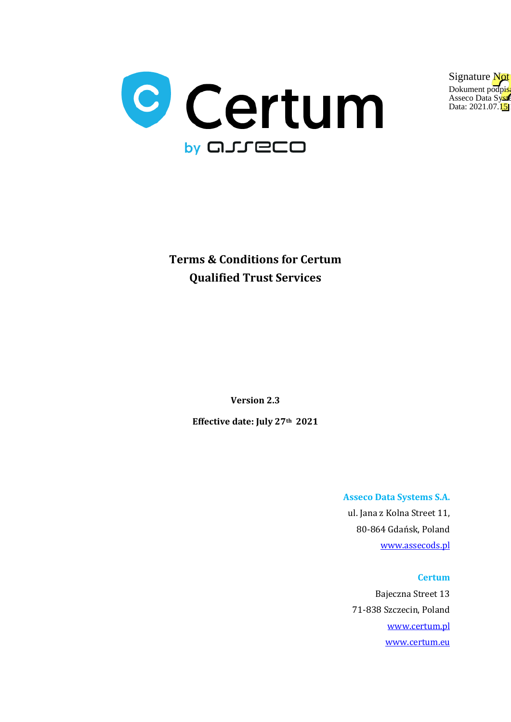



**Terms & Conditions for Certum Qualified Trust Services**

**Version 2.3**

**Effective date: July 27th 2021**

**Asseco Data Systems S.A.** ul. Jana z Kolna Street 11, 80-864 Gdańsk, Poland [www.assecods.pl](http://www.assecods.pl/en/)

**Certum** Bajeczna Street 13 71-838 Szczecin, Poland [www.certum.pl](https://www.certum.pl/pl/) [www.certum.eu](https://www.certum.eu/)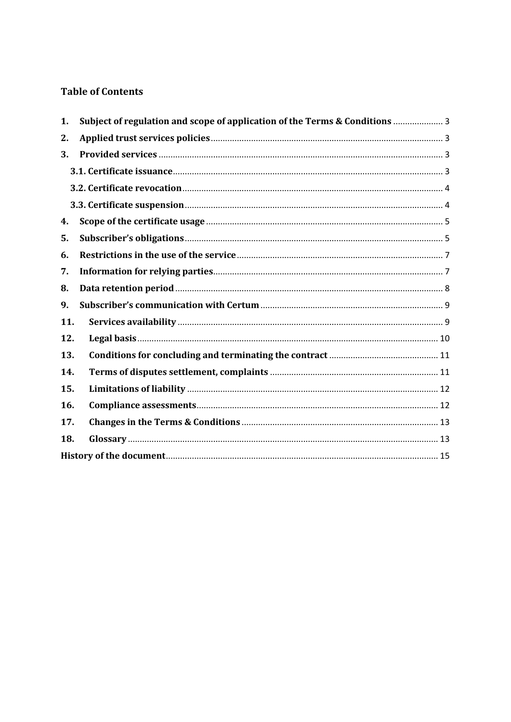# **Table of Contents**

| 1.  | Subject of regulation and scope of application of the Terms & Conditions  3 |  |  |  |
|-----|-----------------------------------------------------------------------------|--|--|--|
| 2.  |                                                                             |  |  |  |
| 3.  |                                                                             |  |  |  |
|     |                                                                             |  |  |  |
|     |                                                                             |  |  |  |
|     |                                                                             |  |  |  |
| 4.  |                                                                             |  |  |  |
| 5.  |                                                                             |  |  |  |
| 6.  |                                                                             |  |  |  |
| 7.  |                                                                             |  |  |  |
| 8.  |                                                                             |  |  |  |
| 9.  |                                                                             |  |  |  |
| 11. |                                                                             |  |  |  |
| 12. |                                                                             |  |  |  |
| 13. |                                                                             |  |  |  |
| 14. |                                                                             |  |  |  |
| 15. |                                                                             |  |  |  |
| 16. |                                                                             |  |  |  |
| 17. |                                                                             |  |  |  |
| 18. |                                                                             |  |  |  |
|     |                                                                             |  |  |  |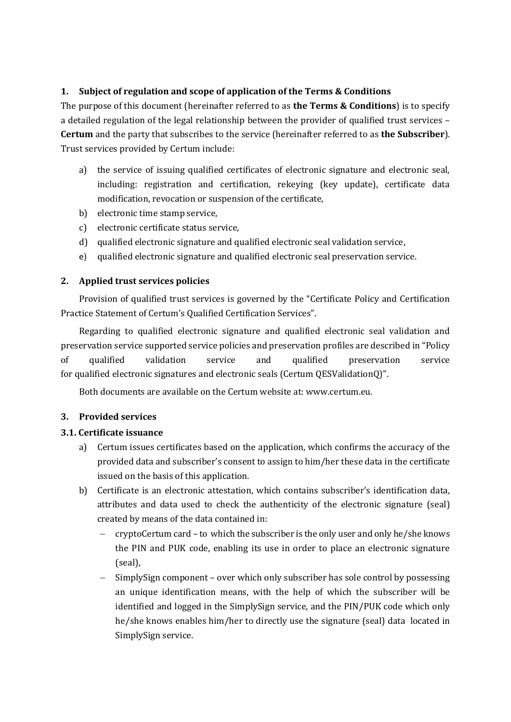## <span id="page-2-0"></span>**1. Subject of regulation and scope of application of the Terms & Conditions**

The purpose of this document (hereinafter referred to as **the Terms & Conditions**) is to specify a detailed regulation of the legal relationship between the provider of qualified trust services – **Certum** and the party that subscribes to the service (hereinafter referred to as **the Subscriber**). Trust services provided by Certum include:

- a) the service of issuing qualified certificates of electronic signature and electronic seal, including: registration and certification, rekeying (key update), certificate data modification, revocation or suspension of the certificate,
- b) electronic time stamp service,
- c) electronic certificate status service,
- d) qualified electronic signature and qualified electronic seal validation service,
- e) qualified electronic signature and qualified electronic seal preservation service.

# <span id="page-2-1"></span>**2. Applied trust services policies**

Provision of qualified trust services is governed by the "Certificate Policy and Certification Practice Statement of Certum's Qualified Certification Services".

Regarding to qualified electronic signature and qualified electronic seal validation and preservation service supported service policies and preservation profiles are described in "Policy of qualified validation service and qualified preservation service for qualified electronic signatures and electronic seals (Certum QESValidationQ)".

Both documents are available on the Certum website at[: www.certum.eu.](https://www.certum.eu/)

# <span id="page-2-2"></span>**3. Provided services**

# <span id="page-2-3"></span>**3.1. Certificate issuance**

- a) Certum issues certificates based on the application, which confirms the accuracy of the provided data and subscriber's consent to assign to him/her these data in the certificate issued on the basis of this application.
- b) Certificate is an electronic attestation, which contains subscriber's identification data, attributes and data used to check the authenticity of the electronic signature (seal) created by means of the data contained in:
	- − cryptoCertum card to which the subscriber is the only user and only he/she knows the PIN and PUK code, enabling its use in order to place an electronic signature (seal),
	- SimplySign component over which only subscriber has sole control by possessing an unique identification means, with the help of which the subscriber will be identified and logged in the SimplySign service, and the PIN/PUK code which only he/she knows enables him/her to directly use the signature (seal) data located in SimplySign service.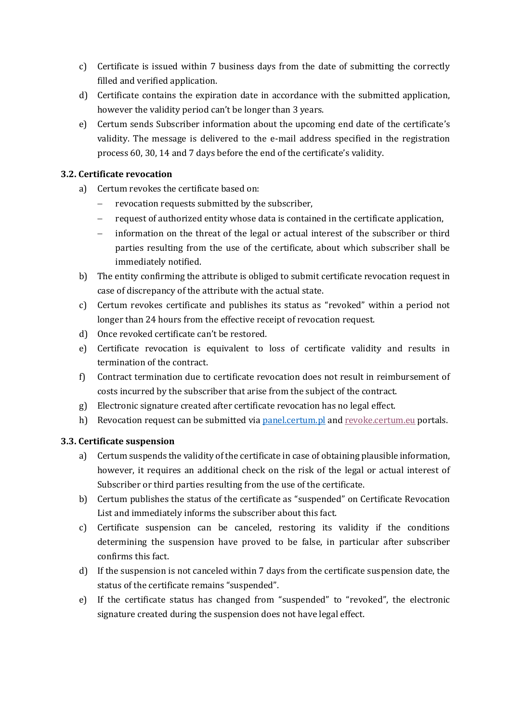- c) Certificate is issued within 7 business days from the date of submitting the correctly filled and verified application.
- d) Certificate contains the expiration date in accordance with the submitted application, however the validity period can't be longer than 3 years.
- e) Certum sends Subscriber information about the upcoming end date of the certificate's validity. The message is delivered to the e-mail address specified in the registration process 60, 30, 14 and 7 days before the end of the certificate's validity.

## <span id="page-3-0"></span>**3.2. Certificate revocation**

- a) Certum revokes the certificate based on:
	- − revocation requests submitted by the subscriber,
	- − request of authorized entity whose data is contained in the certificate application,
	- information on the threat of the legal or actual interest of the subscriber or third parties resulting from the use of the certificate, about which subscriber shall be immediately notified.
- b) The entity confirming the attribute is obliged to submit certificate revocation request in case of discrepancy of the attribute with the actual state.
- c) Certum revokes certificate and publishes its status as "revoked" within a period not longer than 24 hours from the effective receipt of revocation request.
- d) Once revoked certificate can't be restored.
- e) Certificate revocation is equivalent to loss of certificate validity and results in termination of the contract.
- f) Contract termination due to certificate revocation does not result in reimbursement of costs incurred by the subscriber that arise from the subject of the contract.
- g) Electronic signature created after certificate revocation has no legal effect.
- h) Revocation request can be submitted via [panel.certum.pl](https://panel.certum.pl/) an[d revoke.certum.eu](https://revoke.certum.eu/) portals.

#### <span id="page-3-1"></span>**3.3. Certificate suspension**

- a) Certum suspends the validity of the certificate in case of obtaining plausible information, however, it requires an additional check on the risk of the legal or actual interest of Subscriber or third parties resulting from the use of the certificate.
- b) Certum publishes the status of the certificate as "suspended" on Certificate Revocation List and immediately informs the subscriber about this fact.
- c) Certificate suspension can be canceled, restoring its validity if the conditions determining the suspension have proved to be false, in particular after subscriber confirms this fact.
- d) If the suspension is not canceled within 7 days from the certificate suspension date, the status of the certificate remains "suspended".
- e) If the certificate status has changed from "suspended" to "revoked", the electronic signature created during the suspension does not have legal effect.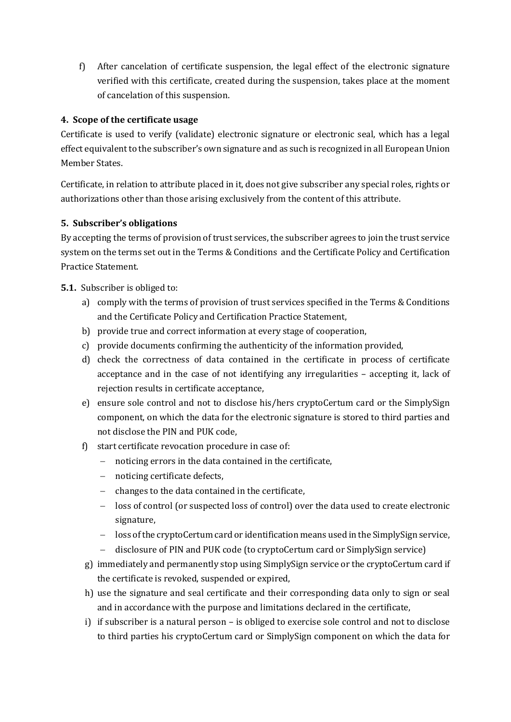f) After cancelation of certificate suspension, the legal effect of the electronic signature verified with this certificate, created during the suspension, takes place at the moment of cancelation of this suspension.

# <span id="page-4-0"></span>**4. Scope of the certificate usage**

Certificate is used to verify (validate) electronic signature or electronic seal, which has a legal effect equivalent to the subscriber's own signature and as such is recognized in all European Union Member States.

Certificate, in relation to attribute placed in it, does not give subscriber any special roles, rights or authorizations other than those arising exclusively from the content of this attribute.

# <span id="page-4-1"></span>**5. Subscriber's obligations**

By accepting the terms of provision of trust services, the subscriber agrees to join the trust service system on the terms set out in the Terms & Conditions and the Certificate Policy and Certification Practice Statement.

**5.1.** Subscriber is obliged to:

- a) comply with the terms of provision of trust services specified in the Terms & Conditions and the Certificate Policy and Certification Practice Statement,
- b) provide true and correct information at every stage of cooperation,
- c) provide documents confirming the authenticity of the information provided,
- d) check the correctness of data contained in the certificate in process of certificate acceptance and in the case of not identifying any irregularities – accepting it, lack of rejection results in certificate acceptance,
- e) ensure sole control and not to disclose his/hers cryptoCertum card or the SimplySign component, on which the data for the electronic signature is stored to third parties and not disclose the PIN and PUK code,
- f) start certificate revocation procedure in case of:
	- − noticing errors in the data contained in the certificate,
	- − noticing certificate defects,
	- − changes to the data contained in the certificate,
	- − loss of control (or suspected loss of control) over the data used to create electronic signature,
	- − loss of the cryptoCertum card or identification means used in the SimplySign service,
	- − disclosure of PIN and PUK code (to cryptoCertum card or SimplySign service)
- g) immediately and permanently stop using SimplySign service or the cryptoCertum card if the certificate is revoked, suspended or expired,
- h) use the signature and seal certificate and their corresponding data only to sign or seal and in accordance with the purpose and limitations declared in the certificate,
- i) if subscriber is a natural person is obliged to exercise sole control and not to disclose to third parties his cryptoCertum card or SimplySign component on which the data for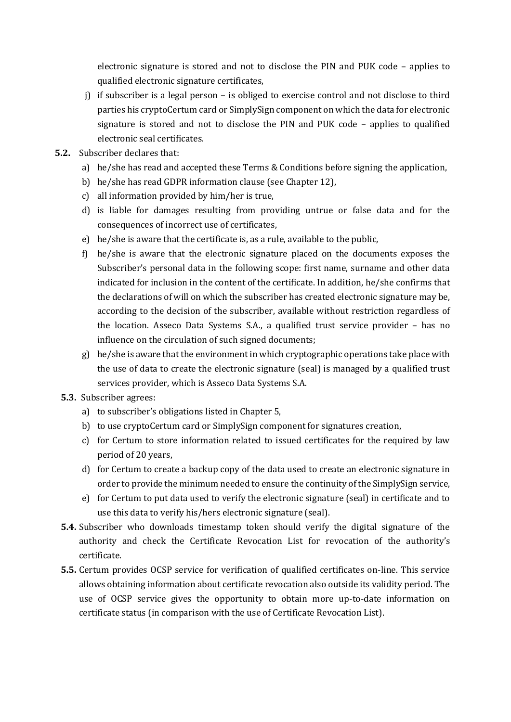electronic signature is stored and not to disclose the PIN and PUK code – applies to qualified electronic signature certificates,

- j) if subscriber is a legal person is obliged to exercise control and not disclose to third parties his cryptoCertum card or SimplySign component on which the data for electronic signature is stored and not to disclose the PIN and PUK code – applies to qualified electronic seal certificates.
- **5.2.** Subscriber declares that:
	- a) he/she has read and accepted these Terms & Conditions before signing the application,
	- b) he/she has read GDPR information clause (see Chapter [12\)](#page-9-0),
	- c) all information provided by him/her is true,
	- d) is liable for damages resulting from providing untrue or false data and for the consequences of incorrect use of certificates,
	- e) he/she is aware that the certificate is, as a rule, available to the public,
	- f) he/she is aware that the electronic signature placed on the documents exposes the Subscriber's personal data in the following scope: first name, surname and other data indicated for inclusion in the content of the certificate. In addition, he/she confirms that the declarations of will on which the subscriber has created electronic signature may be, according to the decision of the subscriber, available without restriction regardless of the location. Asseco Data Systems S.A., a qualified trust service provider – has no influence on the circulation of such signed documents;
	- g) he/she is aware that the environment in which cryptographic operations take place with the use of data to create the electronic signature (seal) is managed by a qualified trust services provider, which is Asseco Data Systems S.A.

#### **5.3.** Subscriber agrees:

- a) to subscriber's obligations listed in Chapter [5,](#page-4-1)
- b) to use cryptoCertum card or SimplySign component for signatures creation,
- c) for Certum to store information related to issued certificates for the required by law period of 20 years,
- d) for Certum to create a backup copy of the data used to create an electronic signature in order to provide the minimum needed to ensure the continuity of the SimplySign service,
- e) for Certum to put data used to verify the electronic signature (seal) in certificate and to use this data to verify his/hers electronic signature (seal).
- **5.4.** Subscriber who downloads timestamp token should verify the digital signature of the authority and check the Certificate Revocation List for revocation of the authority's certificate.
- **5.5.** Certum provides OCSP service for verification of qualified certificates on-line. This service allows obtaining information about certificate revocation also outside its validity period. The use of OCSP service gives the opportunity to obtain more up-to-date information on certificate status (in comparison with the use of Certificate Revocation List).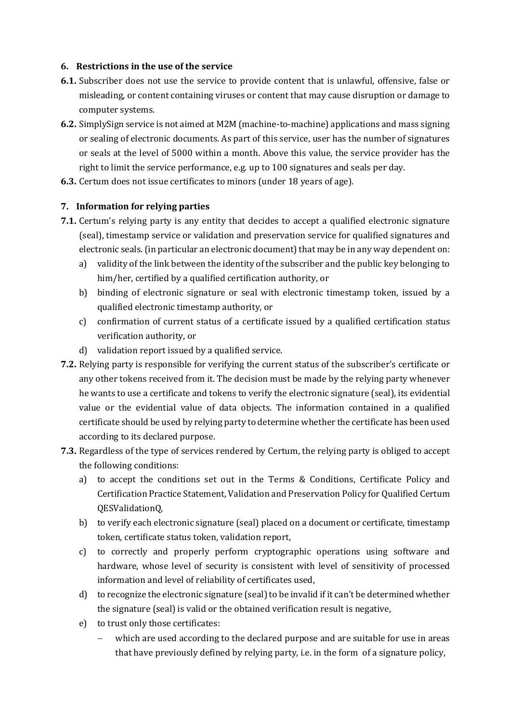## <span id="page-6-0"></span>**6. Restrictions in the use of the service**

- **6.1.** Subscriber does not use the service to provide content that is unlawful, offensive, false or misleading, or content containing viruses or content that may cause disruption or damage to computer systems.
- **6.2.** SimplySign service is not aimed at M2M (machine-to-machine) applications and mass signing or sealing of electronic documents. As part of this service, user has the number of signatures or seals at the level of 5000 within a month. Above this value, the service provider has the right to limit the service performance, e.g. up to 100 signatures and seals per day.
- **6.3.** Certum does not issue certificates to minors (under 18 years of age).

# <span id="page-6-1"></span>**7. Information for relying parties**

- **7.1.** Certum's relying party is any entity that decides to accept a qualified electronic signature (seal), timestamp service or validation and preservation service for qualified signatures and electronic seals. (in particular an electronic document) that may be in any way dependent on:
	- a) validity of the link between the identity of the subscriber and the public key belonging to him/her, certified by a qualified certification authority, or
	- b) binding of electronic signature or seal with electronic timestamp token, issued by a qualified electronic timestamp authority, or
	- c) confirmation of current status of a certificate issued by a qualified certification status verification authority, or
	- d) validation report issued by a qualified service.
- **7.2.** Relying party is responsible for verifying the current status of the subscriber's certificate or any other tokens received from it. The decision must be made by the relying party whenever he wants to use a certificate and tokens to verify the electronic signature (seal), its evidential value or the evidential value of data objects. The information contained in a qualified certificate should be used by relying party to determine whether the certificate has been used according to its declared purpose.
- **7.3.** Regardless of the type of services rendered by Certum, the relying party is obliged to accept the following conditions:
	- a) to accept the conditions set out in the Terms & Conditions, Certificate Policy and Certification Practice Statement, Validation and Preservation Policy for Qualified Certum QESValidationQ,
	- b) to verify each electronic signature (seal) placed on a document or certificate, timestamp token, certificate status token, validation report,
	- c) to correctly and properly perform cryptographic operations using software and hardware, whose level of security is consistent with level of sensitivity of processed information and level of reliability of certificates used,
	- d) to recognize the electronic signature (seal) to be invalid if it can't be determined whether the signature (seal) is valid or the obtained verification result is negative,
	- e) to trust only those certificates:
		- which are used according to the declared purpose and are suitable for use in areas that have previously defined by relying party, i.e. in the form of a signature policy,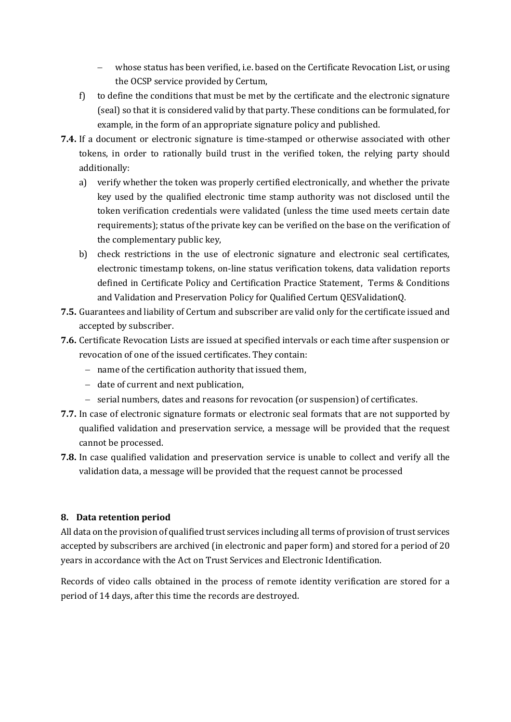- − whose status has been verified, i.e. based on the Certificate Revocation List, or using the OCSP service provided by Certum,
- f) to define the conditions that must be met by the certificate and the electronic signature (seal) so that it is considered valid by that party. These conditions can be formulated, for example, in the form of an appropriate signature policy and published.
- **7.4.** If a document or electronic signature is time-stamped or otherwise associated with other tokens, in order to rationally build trust in the verified token, the relying party should additionally:
	- a) verify whether the token was properly certified electronically, and whether the private key used by the qualified electronic time stamp authority was not disclosed until the token verification credentials were validated (unless the time used meets certain date requirements); status of the private key can be verified on the base on the verification of the complementary public key,
	- b) check restrictions in the use of electronic signature and electronic seal certificates, electronic timestamp tokens, on-line status verification tokens, data validation reports defined in Certificate Policy and Certification Practice Statement, Terms & Conditions and Validation and Preservation Policy for Qualified Certum QESValidationQ.
- **7.5.** Guarantees and liability of Certum and subscriber are valid only for the certificate issued and accepted by subscriber.
- **7.6.** Certificate Revocation Lists are issued at specified intervals or each time after suspension or revocation of one of the issued certificates. They contain:
	- − name of the certification authority that issued them,
	- − date of current and next publication,
	- − serial numbers, dates and reasons for revocation (or suspension) of certificates.
- **7.7.** In case of electronic signature formats or electronic seal formats that are not supported by qualified validation and preservation service, a message will be provided that the request cannot be processed.
- **7.8.** In case qualified validation and preservation service is unable to collect and verify all the validation data, a message will be provided that the request cannot be processed

# <span id="page-7-0"></span>**8. Data retention period**

All data on the provision of qualified trust services including all terms of provision of trust services accepted by subscribers are archived (in electronic and paper form) and stored for a period of 20 years in accordance with the Act on Trust Services and Electronic Identification.

Records of video calls obtained in the process of remote identity verification are stored for a period of 14 days, after this time the records are destroyed.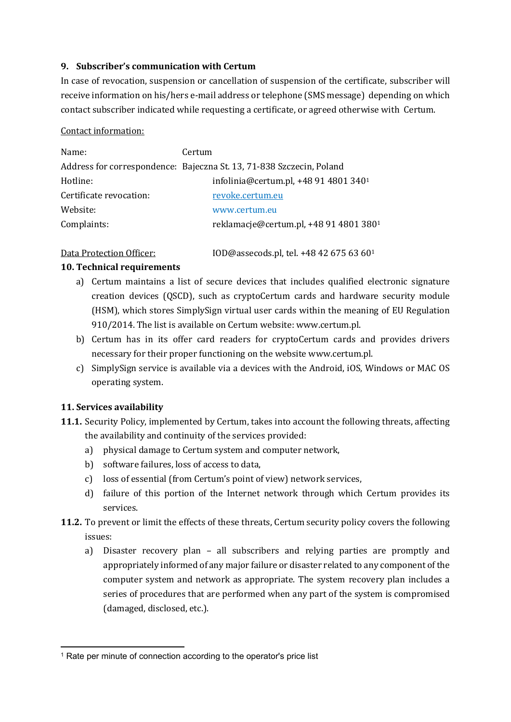## <span id="page-8-0"></span>**9. Subscriber's communication with Certum**

In case of revocation, suspension or cancellation of suspension of the certificate, subscriber will receive information on his/hers e-mail address or telephone (SMS message) depending on which contact subscriber indicated while requesting a certificate, or agreed otherwise with Certum.

#### Contact information:

| Name:                   | Certum                                                               |
|-------------------------|----------------------------------------------------------------------|
|                         | Address for correspondence: Bajeczna St. 13, 71-838 Szczecin, Poland |
| Hotline:                | infolinia@certum.pl, +48 91 4801 340 <sup>1</sup>                    |
| Certificate revocation: | revoke.certum.eu                                                     |
| Website:                | www.certum.eu                                                        |
| Complaints:             | reklamacje@certum.pl, +48 91 4801 380 <sup>1</sup>                   |
|                         |                                                                      |

Data Protection Officer:  $IOD@$ assecods.pl, tel. +48 42 675 63 60<sup>1</sup>

## **10. Technical requirements**

- a) Certum maintains a list of secure devices that includes qualified electronic signature creation devices (QSCD), such as cryptoCertum cards and hardware security module (HSM), which stores SimplySign virtual user cards within the meaning of EU Regulation 910/2014. The list is available on Certum website[: www.certum.pl.](https://www.certum.pl/pl/cert_wiedza_repozytorium_pl_en/)
- b) Certum has in its offer card readers for cryptoCertum cards and provides drivers necessary for their proper functioning on the websit[e www.certum.pl.](https://www.certum.pl/pl/cert_wiedza_repozytorium_pl_en/)
- c) SimplySign service is available via a devices with the Android, iOS, Windows or MAC OS operating system.

# <span id="page-8-1"></span>**11. Services availability**

- **11.1.** Security Policy, implemented by Certum, takes into account the following threats, affecting the availability and continuity of the services provided:
	- a) physical damage to Certum system and computer network,
	- b) software failures, loss of access to data,
	- c) loss of essential (from Certum's point of view) network services,
	- d) failure of this portion of the Internet network through which Certum provides its services.

# **11.2.** To prevent or limit the effects of these threats, Certum security policy covers the following issues:

a) Disaster recovery plan – all subscribers and relying parties are promptly and appropriately informed of any major failure or disaster related to any component of the computer system and network as appropriate. The system recovery plan includes a series of procedures that are performed when any part of the system is compromised (damaged, disclosed, etc.).

<sup>&</sup>lt;sup>1</sup> Rate per minute of connection according to the operator's price list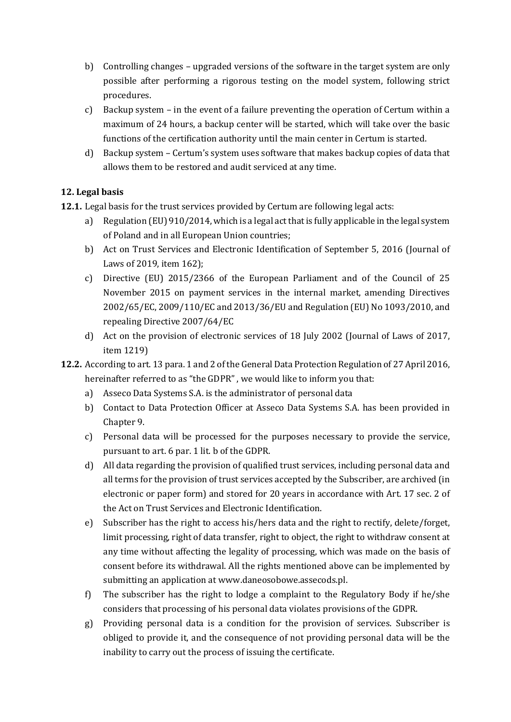- b) Controlling changes upgraded versions of the software in the target system are only possible after performing a rigorous testing on the model system, following strict procedures.
- c) Backup system in the event of a failure preventing the operation of Certum within a maximum of 24 hours, a backup center will be started, which will take over the basic functions of the certification authority until the main center in Certum is started.
- d) Backup system Certum's system uses software that makes backup copies of data that allows them to be restored and audit serviced at any time.

# <span id="page-9-0"></span>**12. Legal basis**

- **12.1.** Legal basis for the trust services provided by Certum are following legal acts:
	- a) Regulation (EU) 910/2014, which is a legal act that is fully applicable in the legal system of Poland and in all European Union countries;
	- b) Act on Trust Services and Electronic Identification of September 5, 2016 (Journal of Laws of 2019, item 162);
	- c) Directive (EU) 2015/2366 of the European Parliament and of the Council of 25 November 2015 on payment services in the internal market, amending Directives 2002/65/EC, 2009/110/EC and 2013/36/EU and Regulation (EU) No 1093/2010, and repealing Directive 2007/64/EC
	- d) Act on the provision of electronic services of 18 July 2002 (Journal of Laws of 2017, item 1219)
- **12.2.** According to art. 13 para. 1 and 2 of the General Data Protection Regulation of 27 April 2016, hereinafter referred to as "the GDPR" , we would like to inform you that:
	- a) Asseco Data Systems S.A. is the administrator of personal data
	- b) Contact to Data Protection Officer at Asseco Data Systems S.A. has been provided in Chapter [9.](#page-8-0)
	- c) Personal data will be processed for the purposes necessary to provide the service, pursuant to art. 6 par. 1 lit. b of the GDPR.
	- d) All data regarding the provision of qualified trust services, including personal data and all terms for the provision of trust services accepted by the Subscriber, are archived (in electronic or paper form) and stored for 20 years in accordance with Art. 17 sec. 2 of the Act on Trust Services and Electronic Identification.
	- e) Subscriber has the right to access his/hers data and the right to rectify, delete/forget, limit processing, right of data transfer, right to object, the right to withdraw consent at any time without affecting the legality of processing, which was made on the basis of consent before its withdrawal. All the rights mentioned above can be implemented by submitting an application a[t www.daneosobowe.assecods.pl.](http://www.daneosobowe.assecods.pl/)
	- f) The subscriber has the right to lodge a complaint to the Regulatory Body if he/she considers that processing of his personal data violates provisions of the GDPR.
	- g) Providing personal data is a condition for the provision of services. Subscriber is obliged to provide it, and the consequence of not providing personal data will be the inability to carry out the process of issuing the certificate.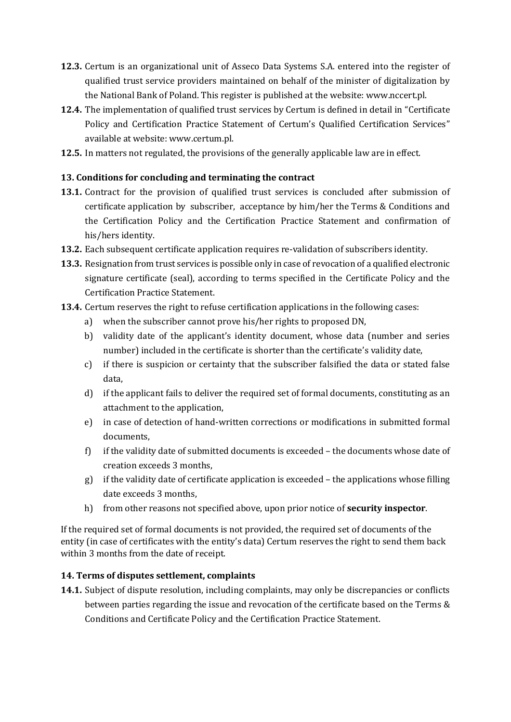- **12.3.** Certum is an organizational unit of Asseco Data Systems S.A. entered into the register of qualified trust service providers maintained on behalf of the minister of digitalization by the National Bank of Poland. This register is published at the website: [www.nccert.pl.](http://www.nccert.pl/)
- **12.4.** The implementation of qualified trust services by Certum is defined in detail in "Certificate Policy and Certification Practice Statement of Certum's Qualified Certification Services" available at website: [www.certum.pl.](https://www.certum.pl/pl/cert_wiedza_repozytorium_pl_en/)
- **12.5.** In matters not regulated, the provisions of the generally applicable law are in effect.

# <span id="page-10-0"></span>**13. Conditions for concluding and terminating the contract**

- **13.1.** Contract for the provision of qualified trust services is concluded after submission of certificate application by subscriber, acceptance by him/her the Terms & Conditions and the Certification Policy and the Certification Practice Statement and confirmation of his/hers identity.
- **13.2.** Each subsequent certificate application requires re-validation of subscribers identity.
- **13.3.** Resignation from trust services is possible only in case of revocation of a qualified electronic signature certificate (seal), according to terms specified in the Certificate Policy and the Certification Practice Statement.
- **13.4.** Certum reserves the right to refuse certification applications in the following cases:
	- a) when the subscriber cannot prove his/her rights to proposed DN,
	- b) validity date of the applicant's identity document, whose data (number and series number) included in the certificate is shorter than the certificate's validity date,
	- c) if there is suspicion or certainty that the subscriber falsified the data or stated false data,
	- d) if the applicant fails to deliver the required set of formal documents, constituting as an attachment to the application,
	- e) in case of detection of hand-written corrections or modifications in submitted formal documents,
	- f) if the validity date of submitted documents is exceeded the documents whose date of creation exceeds 3 months,
	- g) if the validity date of certificate application is exceeded the applications whose filling date exceeds 3 months,
	- h) from other reasons not specified above, upon prior notice of **security inspector**.

If the required set of formal documents is not provided, the required set of documents of the entity (in case of certificates with the entity's data) Certum reserves the right to send them back within 3 months from the date of receipt.

# <span id="page-10-1"></span>**14. Terms of disputes settlement, complaints**

**14.1.** Subject of dispute resolution, including complaints, may only be discrepancies or conflicts between parties regarding the issue and revocation of the certificate based on the Terms & Conditions and Certificate Policy and the Certification Practice Statement.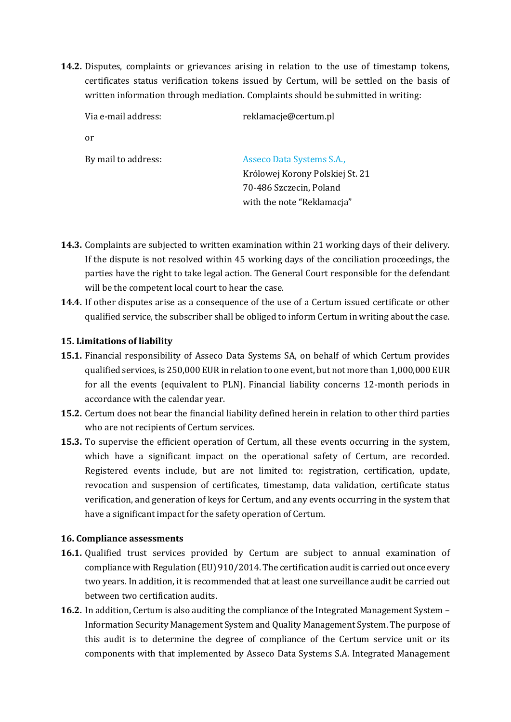**14.2.** Disputes, complaints or grievances arising in relation to the use of timestamp tokens, certificates status verification tokens issued by Certum, will be settled on the basis of written information through mediation. Complaints should be submitted in writing:

| Via e-mail address: | reklamacje@certum.pl            |  |
|---------------------|---------------------------------|--|
| or                  |                                 |  |
| By mail to address: | Asseco Data Systems S.A.,       |  |
|                     | Królowej Korony Polskiej St. 21 |  |
|                     | 70-486 Szczecin, Poland         |  |
|                     | with the note "Reklamacja"      |  |

- **14.3.** Complaints are subjected to written examination within 21 working days of their delivery. If the dispute is not resolved within 45 working days of the conciliation proceedings, the parties have the right to take legal action. The General Court responsible for the defendant will be the competent local court to hear the case.
- **14.4.** If other disputes arise as a consequence of the use of a Certum issued certificate or other qualified service, the subscriber shall be obliged to inform Certum in writing about the case.

## <span id="page-11-0"></span>**15. Limitations of liability**

- **15.1.** Financial responsibility of Asseco Data Systems SA, on behalf of which Certum provides qualified services, is 250,000 EUR in relation to one event, but not more than 1,000,000 EUR for all the events (equivalent to PLN). Financial liability concerns 12-month periods in accordance with the calendar year.
- **15.2.** Certum does not bear the financial liability defined herein in relation to other third parties who are not recipients of Certum services.
- **15.3.** To supervise the efficient operation of Certum, all these events occurring in the system, which have a significant impact on the operational safety of Certum, are recorded. Registered events include, but are not limited to: registration, certification, update, revocation and suspension of certificates, timestamp, data validation, certificate status verification, and generation of keys for Certum, and any events occurring in the system that have a significant impact for the safety operation of Certum.

# <span id="page-11-1"></span>**16. Compliance assessments**

- **16.1.** Qualified trust services provided by Certum are subject to annual examination of compliance with Regulation (EU) 910/2014. The certification audit is carried out once every two years. In addition, it is recommended that at least one surveillance audit be carried out between two certification audits.
- **16.2.** In addition, Certum is also auditing the compliance of the Integrated Management System Information Security Management System and Quality Management System. The purpose of this audit is to determine the degree of compliance of the Certum service unit or its components with that implemented by Asseco Data Systems S.A. Integrated Management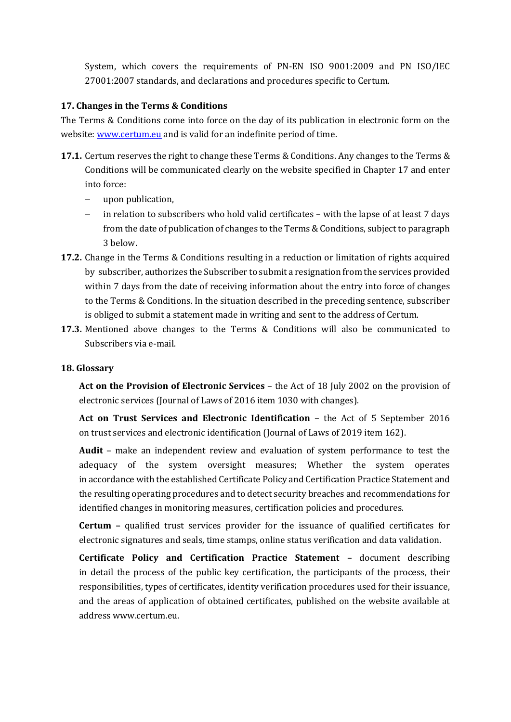System, which covers the requirements of PN-EN ISO 9001:2009 and PN ISO/IEC 27001:2007 standards, and declarations and procedures specific to Certum.

#### <span id="page-12-0"></span>**17. Changes in the Terms & Conditions**

The Terms & Conditions come into force on the day of its publication in electronic form on the website: [www.certum.eu](http://www.certum.eu/) and is valid for an indefinite period of time.

- **17.1.** Certum reserves the right to change these Terms & Conditions. Any changes to the Terms & Conditions will be communicated clearly on the website specified in Chapter [17](#page-12-0) and enter into force:
	- − upon publication,
	- in relation to subscribers who hold valid certificates with the lapse of at least 7 days from the date of publication of changes to the Terms & Conditions, subject to paragraph 3 below.
- **17.2.** Change in the Terms & Conditions resulting in a reduction or limitation of rights acquired by subscriber, authorizes the Subscriber to submit a resignation from the services provided within 7 days from the date of receiving information about the entry into force of changes to the Terms & Conditions. In the situation described in the preceding sentence, subscriber is obliged to submit a statement made in writing and sent to the address of Certum.
- **17.3.** Mentioned above changes to the Terms & Conditions will also be communicated to Subscribers via e-mail.

#### <span id="page-12-1"></span>**18. Glossary**

**Act on the Provision of Electronic Services** – the Act of 18 July 2002 on the provision of electronic services (Journal of Laws of 2016 item 1030 with changes).

**Act on Trust Services and Electronic Identification** – the Act of 5 September 2016 on trust services and electronic identification (Journal of Laws of 2019 item 162).

**Audit** – make an independent review and evaluation of system performance to test the adequacy of the system oversight measures; Whether the system operates in accordance with the established Certificate Policy and Certification Practice Statement and the resulting operating procedures and to detect security breaches and recommendations for identified changes in monitoring measures, certification policies and procedures.

**Certum –** qualified trust services provider for the issuance of qualified certificates for electronic signatures and seals, time stamps, online status verification and data validation.

**Certificate Policy and Certification Practice Statement –** document describing in detail the process of the public key certification, the participants of the process, their responsibilities, types of certificates, identity verification procedures used for their issuance, and the areas of application of obtained certificates, published on the website available at addres[s www.certum.eu.](https://www.certum.eu/en/)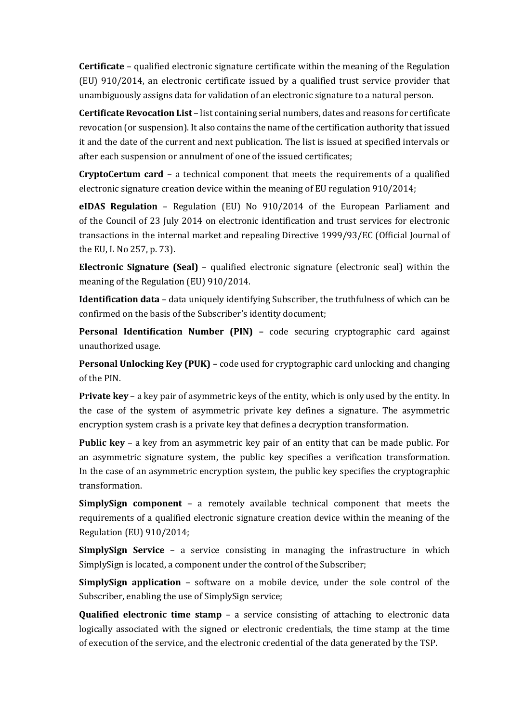**Certificate** – qualified electronic signature certificate within the meaning of the Regulation (EU) 910/2014, an electronic certificate issued by a qualified trust service provider that unambiguously assigns data for validation of an electronic signature to a natural person.

**Certificate Revocation List** – list containing serial numbers, dates and reasons for certificate revocation (or suspension). It also contains the name of the certification authority that issued it and the date of the current and next publication. The list is issued at specified intervals or after each suspension or annulment of one of the issued certificates;

**CryptoCertum card** – a technical component that meets the requirements of a qualified electronic signature creation device within the meaning of EU regulation 910/2014;

**eIDAS Regulation** – Regulation (EU) No 910/2014 of the European Parliament and of the Council of 23 July 2014 on electronic identification and trust services for electronic transactions in the internal market and repealing Directive 1999/93/EC (Official Journal of the EU, L No 257, p. 73).

**Electronic Signature (Seal)** – qualified electronic signature (electronic seal) within the meaning of the Regulation (EU) 910/2014.

**Identification data** – data uniquely identifying Subscriber, the truthfulness of which can be confirmed on the basis of the Subscriber's identity document;

**Personal Identification Number (PIN) –** code securing cryptographic card against unauthorized usage.

**Personal Unlocking Key (PUK) –** code used for cryptographic card unlocking and changing of the PIN.

**Private key** – a key pair of asymmetric keys of the entity, which is only used by the entity. In the case of the system of asymmetric private key defines a signature. The asymmetric encryption system crash is a private key that defines a decryption transformation.

**Public key** – a key from an asymmetric key pair of an entity that can be made public. For an asymmetric signature system, the public key specifies a verification transformation. In the case of an asymmetric encryption system, the public key specifies the cryptographic transformation.

**SimplySign component** – a remotely available technical component that meets the requirements of a qualified electronic signature creation device within the meaning of the Regulation (EU) 910/2014;

**SimplySign Service** – a service consisting in managing the infrastructure in which SimplySign is located, a component under the control of the Subscriber;

**SimplySign application** – software on a mobile device, under the sole control of the Subscriber, enabling the use of SimplySign service;

**Qualified electronic time stamp** – a service consisting of attaching to electronic data logically associated with the signed or electronic credentials, the time stamp at the time of execution of the service, and the electronic credential of the data generated by the TSP.